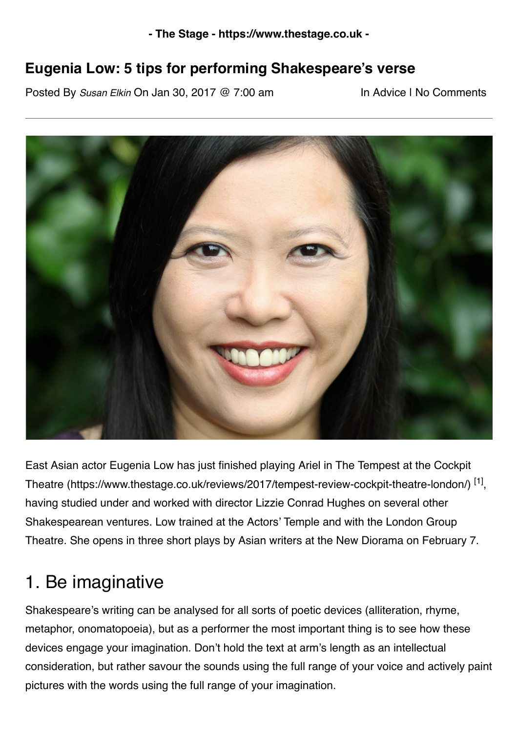#### **Eugenia Low: 5 tips for performing Shakespeare's verse**

Posted By *Susan Elkin* On Jan 30, 2017 @ 7:00 am In Advice | [No Comments](https://www.thestage.co.uk/advice/2017/eugenia-low-5-tips-performing-shakespeares-verse/print/#comments_controls)



[East Asian actor Eugenia Low has just finished playing Ariel in The Tempest at the Cockpit](https://www.thestage.co.uk/reviews/2017/tempest-review-cockpit-theatre-london/) Theatre (https://www.thestage.co.uk/reviews/2017/tempest-review-cockpit-theatre-london/) [1], having studied under and worked with director Lizzie Conrad Hughes on several other Shakespearean ventures. Low trained at the Actors' Temple and with the London Group Theatre. She opens in three short plays by Asian writers at the New Diorama on February 7.

#### 1. Be imaginative

Shakespeare's writing can be analysed for all sorts of poetic devices (alliteration, rhyme, metaphor, onomatopoeia), but as a performer the most important thing is to see how these devices engage your imagination. Don't hold the text at arm's length as an intellectual consideration, but rather savour the sounds using the full range of your voice and actively paint pictures with the words using the full range of your imagination.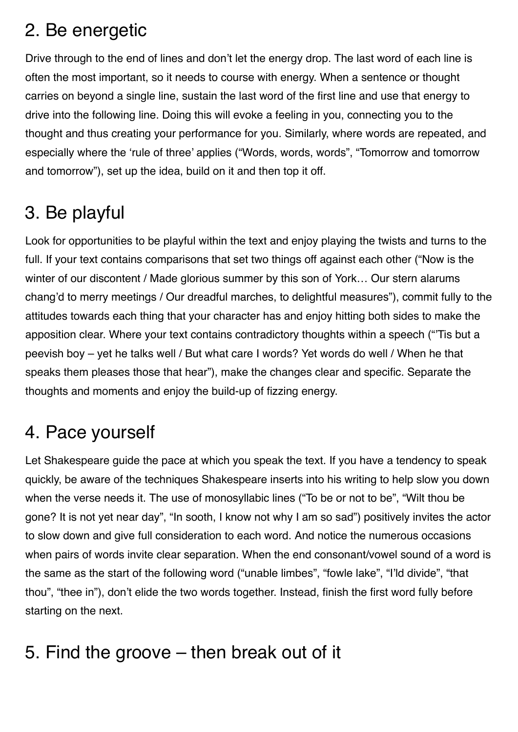### 2. Be energetic

Drive through to the end of lines and don't let the energy drop. The last word of each line is often the most important, so it needs to course with energy. When a sentence or thought carries on beyond a single line, sustain the last word of the first line and use that energy to drive into the following line. Doing this will evoke a feeling in you, connecting you to the thought and thus creating your performance for you. Similarly, where words are repeated, and especially where the 'rule of three' applies ("Words, words, words", "Tomorrow and tomorrow and tomorrow"), set up the idea, build on it and then top it off.

# 3. Be playful

Look for opportunities to be playful within the text and enjoy playing the twists and turns to the full. If your text contains comparisons that set two things off against each other ("Now is the winter of our discontent / Made glorious summer by this son of York... Our stern alarums chang'd to merry meetings / Our dreadful marches, to delightful measures"), commit fully to the attitudes towards each thing that your character has and enjoy hitting both sides to make the apposition clear. Where your text contains contradictory thoughts within a speech ("'Tis but a peevish boy – yet he talks well / But what care I words? Yet words do well / When he that speaks them pleases those that hear"), make the changes clear and specific. Separate the thoughts and moments and enjoy the build-up of fizzing energy.

## 4. Pace yourself

Let Shakespeare guide the pace at which you speak the text. If you have a tendency to speak quickly, be aware of the techniques Shakespeare inserts into his writing to help slow you down when the verse needs it. The use of monosyllabic lines ("To be or not to be", "Wilt thou be gone? It is not yet near day", "In sooth, I know not why I am so sad") positively invites the actor to slow down and give full consideration to each word. And notice the numerous occasions when pairs of words invite clear separation. When the end consonant/vowel sound of a word is the same as the start of the following word ("unable limbes", "fowle lake", "I'ld divide", "that thou", "thee in"), don't elide the two words together. Instead, finish the first word fully before starting on the next.

# 5. Find the groove – then break out of it